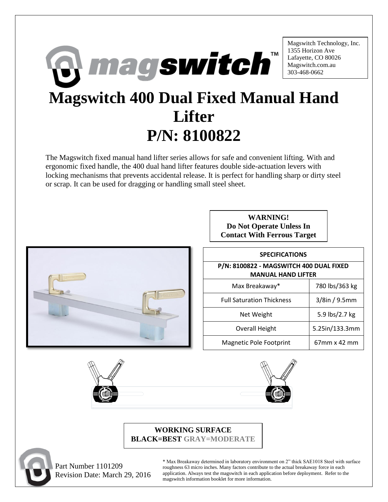

The Magswitch fixed manual hand lifter series allows for safe and convenient lifting. With and ergonomic fixed handle, the 400 dual hand lifter features double side-actuation levers with locking mechanisms that prevents accidental release. It is perfect for handling sharp or dirty steel or scrap. It can be used for dragging or handling small steel sheet.



| <b>WARNING!</b>                    |
|------------------------------------|
| Do Not Operate Unless In           |
| <b>Contact With Ferrous Target</b> |

| <b>SPECIFICATIONS</b>                                                |                  |  |
|----------------------------------------------------------------------|------------------|--|
| P/N: 8100822 - MAGSWITCH 400 DUAL FIXED<br><b>MANUAL HAND LIFTER</b> |                  |  |
| Max Breakaway*                                                       | 780 lbs/363 kg   |  |
| <b>Full Saturation Thickness</b>                                     | $3/8$ in / 9.5mm |  |
| Net Weight                                                           | 5.9 lbs/2.7 kg   |  |
| <b>Overall Height</b>                                                | 5.25in/133.3mm   |  |
| <b>Magnetic Pole Footprint</b>                                       | 67mm x 42 mm     |  |





## **WORKING SURFACE BLACK=BEST GRAY=MODERATE**



 Part Number 1101209 Revision Date: March 29, 2016

\* Max Breakaway determined in laboratory environment on 2" thick SAE1018 Steel with surface roughness 63 micro inches. Many factors contribute to the actual breakaway force in each application. Always test the magswitch in each application before deployment. Refer to the magswitch information booklet for more information.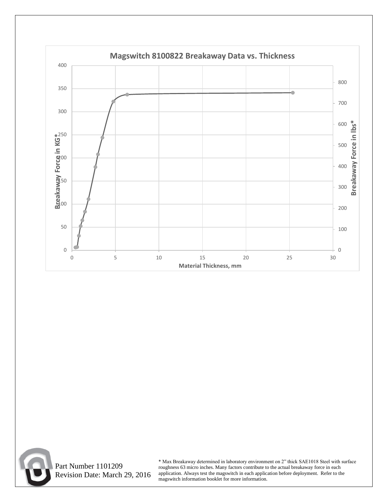



 Part Number 1101209 Revision Date: March 29, 2016 \* Max Breakaway determined in laboratory environment on 2" thick SAE1018 Steel with surface roughness 63 micro inches. Many factors contribute to the actual breakaway force in each application. Always test the magswitch in each application before deployment. Refer to the magswitch information booklet for more information.